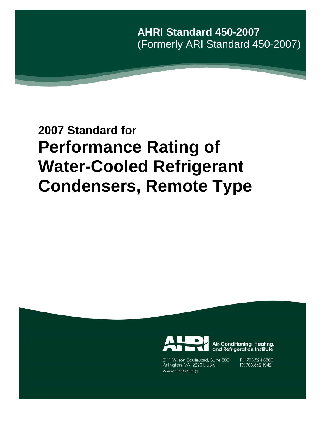**AHRI Standard 450-2007**  (Formerly ARI Standard 450-2007)

# **2007 Standard for Performance Rating of Water-Cooled Refrigerant Condensers, Remote Type**



Air-Conditioning, Heating, and Refrigeration Institute

2111 Wilson Boulevard, Suite 500 Arlington, VA 22201, USA www.ahrinet.org

PH 703.524.8800 FX 703.562.1942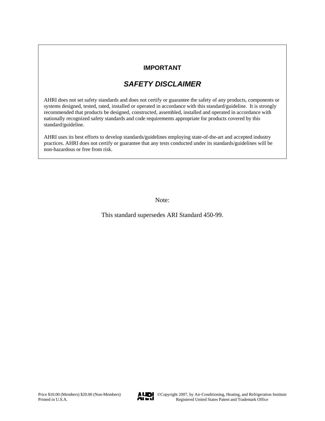## **IMPORTANT**

## *SAFETY DISCLAIMER*

AHRI does not set safety standards and does not certify or guarantee the safety of any products, components or systems designed, tested, rated, installed or operated in accordance with this standard/guideline. It is strongly recommended that products be designed, constructed, assembled, installed and operated in accordance with nationally recognized safety standards and code requirements appropriate for products covered by this standard/guideline.

AHRI uses its best efforts to develop standards/guidelines employing state-of-the-art and accepted industry practices. AHRI does not certify or guarantee that any tests conducted under its standards/guidelines will be non-hazardous or free from risk.

Note:

This standard supersedes ARI Standard 450-99.

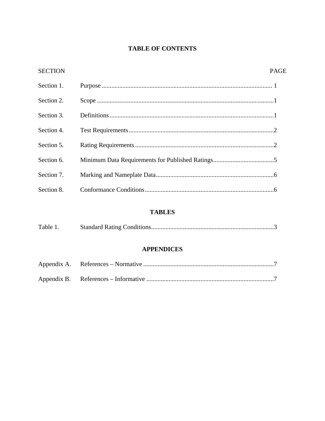## **TABLE OF CONTENTS**

| <b>SECTION</b> | PAGE |
|----------------|------|
| Section 1.     |      |
| Section 2.     |      |
| Section 3.     |      |
| Section 4.     |      |
| Section 5.     |      |
| Section 6.     |      |
| Section 7.     |      |
| Section 8.     |      |

## **TABLES**

| Table 1. |  |  |
|----------|--|--|
|----------|--|--|

### **APPENDICES**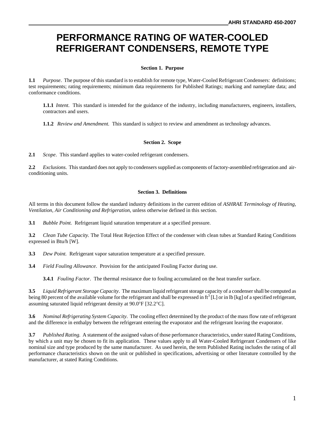# **PERFORMANCE RATING OF WATER-COOLED REFRIGERANT CONDENSERS, REMOTE TYPE**

#### **Section 1. Purpose**

**1.1** *Purpose*. The purpose of this standard is to establish for remote type, Water-Cooled Refrigerant Condensers: definitions; test requirements; rating requirements; minimum data requirements for Published Ratings; marking and nameplate data; and conformance conditions.

**1.1.1** *Intent*. This standard is intended for the guidance of the industry, including manufacturers, engineers, installers, contractors and users.

**1.1.2** *Review and Amendment.* This standard is subject to review and amendment as technology advances.

#### **Section 2. Scope**

**2.1** *Scope*. This standard applies to water-cooled refrigerant condensers.

**2.2** *Exclusions*. This standard does not apply to condensers supplied as components of factory-assembled refrigeration and airconditioning units.

#### **Section 3. Definitions**

All terms in this document follow the standard industry definitions in the current edition of *ASHRAE Terminology of Heating, Ventilation, Air Conditioning and Refrigeration*, unless otherwise defined in this section.

**3.1** *Bubble Point.* Refrigerant liquid saturation temperature at a specified pressure.

**3.2** *Clean Tube Capacity.* The Total Heat Rejection Effect of the condenser with clean tubes at Standard Rating Conditions expressed in Btu/h [W].

**3.3** *Dew Point.* Refrigerant vapor saturation temperature at a specified pressure.

**3.4** *Field Fouling Allowance*. Provision for the anticipated Fouling Factor during use.

**3.4.1** *Fouling Factor*. The thermal resistance due to fouling accumulated on the heat transfer surface.

**3.5** *Liquid Refrigerant Storage Capacity*. The maximum liquid refrigerant storage capacity of a condenser shall be computed as being 80 percent of the available volume for the refrigerant and shall be expressed in  $ft^3[L]$  or in lb [kg] of a specified refrigerant, assuming saturated liquid refrigerant density at 90.0°F [32.2°C].

**3.6** *Nominal Refrigerating System Capacity*. The cooling effect determined by the product of the mass flow rate of refrigerant and the difference in enthalpy between the refrigerant entering the evaporator and the refrigerant leaving the evaporator.

**3.7** *Published Rating.* A statement of the assigned values of those performance characteristics, under stated Rating Conditions, by which a unit may be chosen to fit its application. These values apply to all Water-Cooled Refrigerant Condensers of like nominal size and type produced by the same manufacturer. As used herein, the term Published Rating includes the rating of all performance characteristics shown on the unit or published in specifications, advertising or other literature controlled by the manufacturer, at stated Rating Conditions.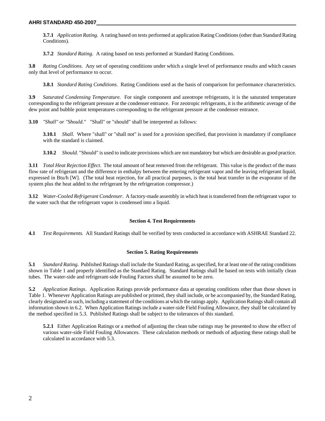**3.7.1** *Application Rating.* A rating based on tests performed at application Rating Conditions (other than Standard Rating Conditions).

**3.7.2** *Standard Rating.* A rating based on tests performed at Standard Rating Conditions.

**3.8** *Rating Conditions*. Any set of operating conditions under which a single level of performance results and which causes only that level of performance to occur.

**3.8.1** *Standard Rating Conditions*. Rating Conditions used as the basis of comparison for performance characteristics.

**3.9** *Saturated Condensing Temperature.* For single component and azeotrope refrigerants, it is the saturated temperature corresponding to the refrigerant pressure at the condenser entrance. For zeotropic refrigerants, it is the arithmetic average of the dew point and bubble point temperatures corresponding to the refrigerant pressure at the condenser entrance.

**3.10** *"Shall" or "Should."* "Shall" or "should" shall be interpreted as follows:

**3.10.1** *Shall.* Where "shall" or "shall not" is used for a provision specified, that provision is mandatory if compliance with the standard is claimed.

**3.10.2** *Should.* "Should" is used to indicate provisions which are not mandatory but which are desirable as good practice.

**3.11** *Total Heat Rejection Effect*. The total amount of heat removed from the refrigerant. This value is the product of the mass flow rate of refrigerant and the difference in enthalpy between the entering refrigerant vapor and the leaving refrigerant liquid, expressed in Btu/h [W]. (The total heat rejection, for all practical purposes, is the total heat transfer in the evaporator of the system plus the heat added to the refrigerant by the refrigeration compressor.)

**3.12** *Water-Cooled Refrigerant Condenser*. A factory-made assembly in which heat is transferred from the refrigerant vapor to the water such that the refrigerant vapor is condensed into a liquid.

#### **Section 4. Test Requirements**

**4.1** *Test Requirements.* All Standard Ratings shall be verified by tests conducted in accordance with ASHRAE Standard 22.

#### **Section 5. Rating Requirements**

**5.1** *Standard Rating*. Published Ratings shall include the Standard Rating, as specified, for at least one of the rating conditions shown in Table 1 and properly identified as the Standard Rating. Standard Ratings shall be based on tests with initially clean tubes. The water-side and refrigerant-side Fouling Factors shall be assumed to be zero.

**5.2** *Application Ratings*. Application Ratings provide performance data at operating conditions other than those shown in Table 1. Whenever Application Ratings are published or printed, they shall include, or be accompanied by, the Standard Rating, clearly designated as such, including a statement of the conditions at which the ratings apply. Application Ratings shall contain all information shown in 6.2. When Application Ratings include a water-side Field Fouling Allowance, they shall be calculated by the method specified in 5.3. Published Ratings shall be subject to the tolerances of this standard.

**5.2.1** Either Application Ratings or a method of adjusting the clean tube ratings may be presented to show the effect of various water-side Field Fouling Allowances. These calculation methods or methods of adjusting these ratings shall be calculated in accordance with 5.3.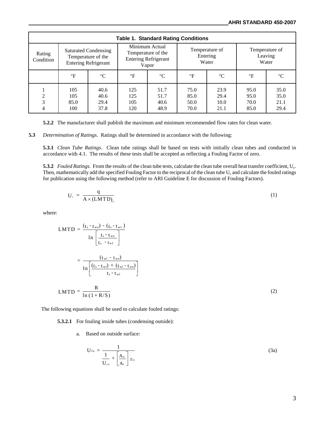| <b>Table 1. Standard Rating Conditions</b> |                                                                                  |                              |                                                                              |                              |                                     |                              |                                    |                              |  |  |  |  |
|--------------------------------------------|----------------------------------------------------------------------------------|------------------------------|------------------------------------------------------------------------------|------------------------------|-------------------------------------|------------------------------|------------------------------------|------------------------------|--|--|--|--|
| Rating<br>Condition                        | <b>Saturated Condensing</b><br>Temperature of the<br><b>Entering Refrigerant</b> |                              | Minimum Actual<br>Temperature of the<br><b>Entering Refrigerant</b><br>Vapor |                              | Temperature of<br>Entering<br>Water |                              | Temperature of<br>Leaving<br>Water |                              |  |  |  |  |
|                                            | $\circ$ F                                                                        | $\rm ^{\circ}C$              | $\circ$ F                                                                    | $\rm ^{\circ}C$              | $\circ$ F                           | $\rm ^{\circ}C$              | $\mathsf{P}$                       | $\rm ^{\circ}C$              |  |  |  |  |
| ↑<br>3<br>4                                | 105<br>105<br>85.0<br>100                                                        | 40.6<br>40.6<br>29.4<br>37.8 | 125<br>125<br>105<br>120                                                     | 51.7<br>51.7<br>40.6<br>48.9 | 75.0<br>85.0<br>50.0<br>70.0        | 23.9<br>29.4<br>10.0<br>21.1 | 95.0<br>95.0<br>70.0<br>85.0       | 35.0<br>35.0<br>21.1<br>29.4 |  |  |  |  |

**5.2.2** The manufacturer shall publish the maximum and minimum recommended flow rates for clean water.

**5.3** *Determination of Ratings*. Ratings shall be determined in accordance with the following:

**5.3.1** *Clean Tube Ratings*. Clean tube ratings shall be based on tests with initially clean tubes and conducted in accordance with 4.1. The results of these tests shall be accepted as reflecting a Fouling Factor of zero.

**5.3.2** *Fouled Ratings*. From the results of the clean tube tests, calculate the clean tube overall heat transfer coefficient, U<sub>c</sub>. Then, mathematically add the specified Fouling Factor to the reciprocal of the clean tube  $U_c$  and calculate the fouled ratings for publication using the following method (refer to ARI Guideline E for discussion of Fouling Factors).

$$
U_c = \frac{q}{A \times (LMTD)_c}
$$
 (1)

where:

$$
LMTD = \frac{(t_s - t_{we}) - (t_s - t_{w1})}{\ln \left[\frac{t_s - t_{we}}{t_s - t_{w1}}\right]}
$$

$$
= \frac{(t_{w1} - t_{we})}{\ln \left[\frac{(t_s - t_{w1}) + (t_{w1} - t_{we})}{t_s - t_{w1}}\right]}
$$

$$
LMTD = \frac{R}{\ln (1 + R/S)}
$$
(2)

The following equations shall be used to calculate fouled ratings:

**5.3.2.1** For fouling inside tubes (condensing outside):

a. Based on outside surface:

$$
U_{fo} = \frac{1}{\frac{1}{U_{co}} + \left[\frac{A_o}{A_i}\right] r_{fi}}
$$
(3a)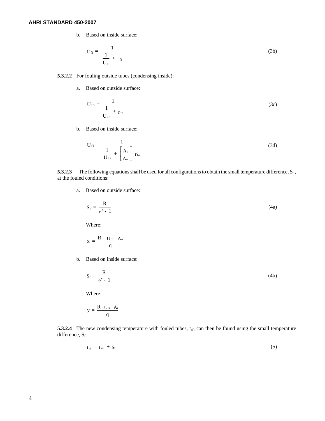b. Based on inside surface:

$$
U_{fi} = \frac{1}{\frac{1}{U_{ci}} + r_{fi}} \tag{3b}
$$

#### **5.3.2.2** For fouling outside tubes (condensing inside):

a. Based on outside surface:

$$
U_{fo} = \frac{1}{\frac{1}{U_{co}} + r_{fo}}
$$
 (3c)

b. Based on inside surface:

$$
U_{fi} = \frac{1}{\frac{1}{U_{ci}} + \left[\frac{A_i}{A_o}\right] r_{fo}}
$$
 (3d)

**5.3.2.3** The following equations shall be used for all configurations to obtain the small temperature difference,  $S_f$ , at the fouled conditions:

a. Based on outside surface:

$$
S_f = \frac{R}{e^x - 1} \tag{4a}
$$

Where:

$$
x = \frac{R \cdot U_{\rm fo} \cdot A_o}{q}
$$

b. Based on inside surface:

$$
S_f = \frac{R}{e^{y} - 1}
$$
 (4b)

Where:

$$
y = \frac{R \cdot U_{fi} \cdot A_i}{q}
$$

**5.3.2.4** The new condensing temperature with fouled tubes, t<sub>sf</sub>, can then be found using the small temperature difference,  $S_f$ :

$$
t_{sf} = t_{w1} + S_f \tag{5}
$$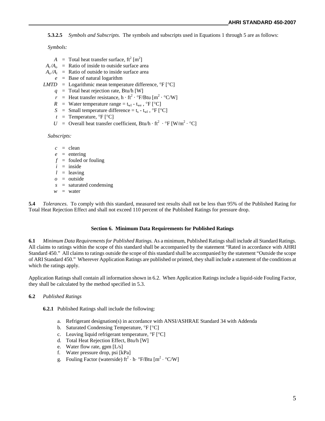**5.3.2.5** *Symbols and Subscripts*. The symbols and subscripts used in Equations 1 through 5 are as follows:

*Symbols:* 

- $A = \text{Total heat transfer surface}, \, \text{ft}^2 \, [\text{m}^2]$
- $A_i/A_0$  = Ratio of inside to outside surface area
- $A_o/A_i$  = Ratio of outside to inside surface area
- *e* = Base of natural logarithm
- *LMTD* = Logarithmic mean temperature difference,  ${}^{\circ}F$  [ ${}^{\circ}C$ ]
	- $q =$  Total heat rejection rate, Btu/h [W]
	- *r* = Heat transfer resistance,  $h \cdot ft^2 \cdot \text{P/B}tu [m^2 \cdot \text{C/W}]$
	- *R* = Water temperature range =  $t_{wl}$   $t_{we}$ , °F [°C]
	- *S* = Small temperature difference =  $t_s t_w$ , °F [°C]
	- $t =$  Temperature,  ${}^{\circ}$ F  $[{}^{\circ}$ C]
	- $U =$  Overall heat transfer coefficient, Btu/h · ft<sup>2</sup> · °F [W/m<sup>2</sup> · °C]

*Subscripts:* 

- $c = \text{clean}$
- $e$  = entering
- $f =$  fouled or fouling
- $i =$  inside
- $l =$  leaving
- *o* = outside
- *s* = saturated condensing
- $w =$  water

**5.4** *Tolerances*. To comply with this standard, measured test results shall not be less than 95% of the Published Rating for Total Heat Rejection Effect and shall not exceed 110 percent of the Published Ratings for pressure drop.

#### **Section 6. Minimum Data Requirements for Published Ratings**

**6.1** *Minimum Data Requirements for Published Ratings.* As a minimum, Published Ratings shall include all Standard Ratings. All claims to ratings within the scope of this standard shall be accompanied by the statement "Rated in accordance with AHRI Standard 450." All claims to ratings outside the scope of this standard shall be accompanied by the statement "Outside the scope of ARI Standard 450." Wherever Application Ratings are published or printed, they shall include a statement of the conditions at which the ratings apply.

Application Ratings shall contain all information shown in 6.2. When Application Ratings include a liquid-side Fouling Factor, they shall be calculated by the method specified in 5.3.

#### **6.2** *Published Ratings*

**6.2.1** Published Ratings shall include the following:

- a. Refrigerant designation(s) in accordance with ANSI/ASHRAE Standard 34 with Addenda
- b. Saturated Condensing Temperature,  ${}^{\circ}F$   $[{}^{\circ}C]$
- c. Leaving liquid refrigerant temperature,  ${}^{\circ}$ F  ${}^{\circ}$ Cl
- d. Total Heat Rejection Effect, Btu/h [W]
- e. Water flow rate, gpm [L/s]
- f. Water pressure drop, psi [kPa]
- g. Fouling Factor (waterside)  $ft^2 \cdot h \cdot \text{P/B}$ tu  $[m^2 \cdot \text{C/W}]$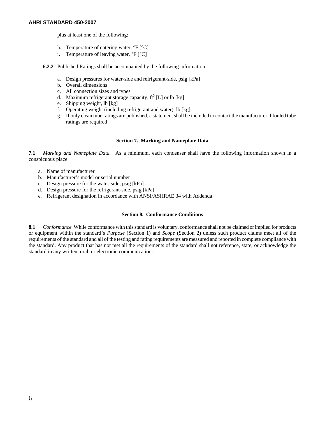plus at least one of the following:

- h. Temperature of entering water,  ${}^{\circ}F$   ${}^{\circ}C$ ]
- i. Temperature of leaving water,  ${}^{\circ}F$   ${}^{\circ}C$ ]

**6.2.2** Published Ratings shall be accompanied by the following information:

- a. Design pressures for water-side and refrigerant-side, psig [kPa]
- b. Overall dimensions
- c. All connection sizes and types
- d. Maximum refrigerant storage capacity,  $ft^3$  [L] or lb [kg]
- e. Shipping weight, lb [kg]
- f. Operating weight (including refrigerant and water), lb [kg]
- g. If only clean tube ratings are published, a statement shall be included to contact the manufacturer if fouled tube ratings are required

#### **Section 7. Marking and Nameplate Data**

**7.1** *Marking and Nameplate Data.* As a minimum, each condenser shall have the following information shown in a conspicuous place:

- a. Name of manufacturer
- b. Manufacturer's model or serial number
- c. Design pressure for the water-side, psig [kPa]
- d. Design pressure for the refrigerant-side, psig [kPa]
- e. Refrigerant designation in accordance with ANSI/ASHRAE 34 with Addenda

#### **Section 8. Conformance Conditions**

**8.1** *Conformance.* While conformance with this standard is voluntary, conformance shall not be claimed or implied for products or equipment within the standard's *Purpose* (Section 1) and *Scope* (Section 2) unless such product claims meet all of the requirements of the standard and all of the testing and rating requirements are measured and reported in complete compliance with the standard. Any product that has not met all the requirements of the standard shall not reference, state, or acknowledge the standard in any written, oral, or electronic communication.